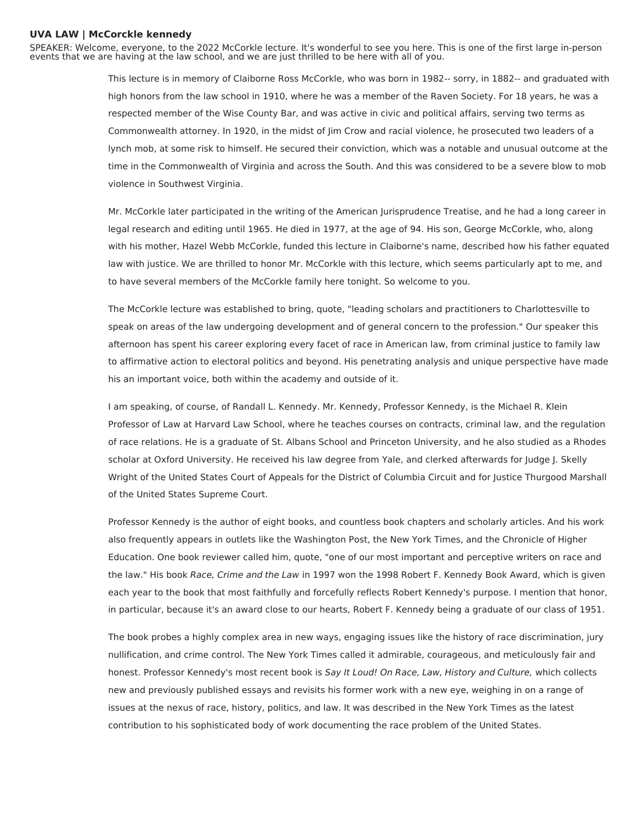## **UVA LAW | McCorckle kennedy**

SPEAKER: Welcome, everyone, to the 2022 McCorkle lecture. It's wonderful to see you here. This is one of the first large in-person events that we are having at the law school, and we are just thrilled to be here with all of you.

> This lecture is in memory of Claiborne Ross McCorkle, who was born in 1982-- sorry, in 1882-- and graduated with high honors from the law school in 1910, where he was a member of the Raven Society. For 18 years, he was a respected member of the Wise County Bar, and was active in civic and political affairs, serving two terms as Commonwealth attorney. In 1920, in the midst of Jim Crow and racial violence, he prosecuted two leaders of a lynch mob, at some risk to himself. He secured their conviction, which was a notable and unusual outcome at the time in the Commonwealth of Virginia and across the South. And this was considered to be a severe blow to mob violence in Southwest Virginia.

> Mr. McCorkle later participated in the writing of the American Jurisprudence Treatise, and he had a long career in legal research and editing until 1965. He died in 1977, at the age of 94. His son, George McCorkle, who, along with his mother, Hazel Webb McCorkle, funded this lecture in Claiborne's name, described how his father equated law with justice. We are thrilled to honor Mr. McCorkle with this lecture, which seems particularly apt to me, and to have several members of the McCorkle family here tonight. So welcome to you.

> The McCorkle lecture was established to bring, quote, "leading scholars and practitioners to Charlottesville to speak on areas of the law undergoing development and of general concern to the profession." Our speaker this afternoon has spent his career exploring every facet of race in American law, from criminal justice to family law to affirmative action to electoral politics and beyond. His penetrating analysis and unique perspective have made his an important voice, both within the academy and outside of it.

> I am speaking, of course, of Randall L. Kennedy. Mr. Kennedy, Professor Kennedy, is the Michael R. Klein Professor of Law at Harvard Law School, where he teaches courses on contracts, criminal law, and the regulation of race relations. He is a graduate of St. Albans School and Princeton University, and he also studied as a Rhodes scholar at Oxford University. He received his law degree from Yale, and clerked afterwards for Judge J. Skelly Wright of the United States Court of Appeals for the District of Columbia Circuit and for Justice Thurgood Marshall of the United States Supreme Court.

> Professor Kennedy is the author of eight books, and countless book chapters and scholarly articles. And his work also frequently appears in outlets like the Washington Post, the New York Times, and the Chronicle of Higher Education. One book reviewer called him, quote, "one of our most important and perceptive writers on race and the law." His book Race, Crime and the Law in 1997 won the 1998 Robert F. Kennedy Book Award, which is given each year to the book that most faithfully and forcefully reflects Robert Kennedy's purpose. I mention that honor, in particular, because it's an award close to our hearts, Robert F. Kennedy being a graduate of our class of 1951.

> The book probes a highly complex area in new ways, engaging issues like the history of race discrimination, jury nullification, and crime control. The New York Times called it admirable, courageous, and meticulously fair and honest. Professor Kennedy's most recent book is Say It Loud! On Race, Law, History and Culture, which collects new and previously published essays and revisits his former work with a new eye, weighing in on a range of issues at the nexus of race, history, politics, and law. It was described in the New York Times as the latest contribution to his sophisticated body of work documenting the race problem of the United States.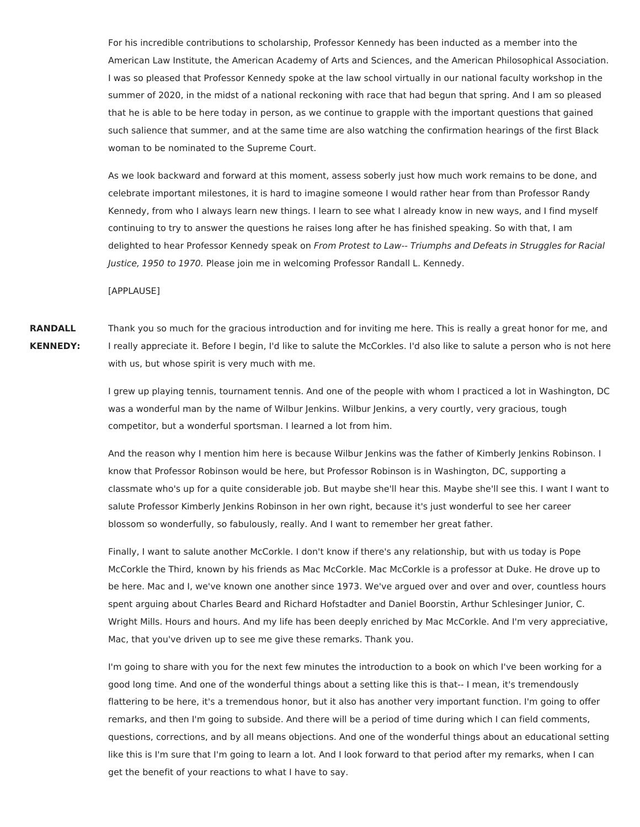For his incredible contributions to scholarship, Professor Kennedy has been inducted as a member into the American Law Institute, the American Academy of Arts and Sciences, and the American Philosophical Association. I was so pleased that Professor Kennedy spoke at the law school virtually in our national faculty workshop in the summer of 2020, in the midst of a national reckoning with race that had begun that spring. And I am so pleased that he is able to be here today in person, as we continue to grapple with the important questions that gained such salience that summer, and at the same time are also watching the confirmation hearings of the first Black woman to be nominated to the Supreme Court.

As we look backward and forward at this moment, assess soberly just how much work remains to be done, and celebrate important milestones, it is hard to imagine someone I would rather hear from than Professor Randy Kennedy, from who I always learn new things. I learn to see what I already know in new ways, and I find myself continuing to try to answer the questions he raises long after he has finished speaking. So with that, I am delighted to hear Professor Kennedy speak on From Protest to Law-- Triumphs and Defeats in Struggles for Racial Justice, 1950 to 1970. Please join me in welcoming Professor Randall L. Kennedy.

[APPLAUSE]

**RANDALL KENNEDY:** Thank you so much for the gracious introduction and for inviting me here. This is really a great honor for me, and I really appreciate it. Before I begin, I'd like to salute the McCorkles. I'd also like to salute a person who is not here with us, but whose spirit is very much with me.

> I grew up playing tennis, tournament tennis. And one of the people with whom I practiced a lot in Washington, DC was a wonderful man by the name of Wilbur Jenkins. Wilbur Jenkins, a very courtly, very gracious, tough competitor, but a wonderful sportsman. I learned a lot from him.

> And the reason why I mention him here is because Wilbur Jenkins was the father of Kimberly Jenkins Robinson. I know that Professor Robinson would be here, but Professor Robinson is in Washington, DC, supporting a classmate who's up for a quite considerable job. But maybe she'll hear this. Maybe she'll see this. I want I want to salute Professor Kimberly Jenkins Robinson in her own right, because it's just wonderful to see her career blossom so wonderfully, so fabulously, really. And I want to remember her great father.

> Finally, I want to salute another McCorkle. I don't know if there's any relationship, but with us today is Pope McCorkle the Third, known by his friends as Mac McCorkle. Mac McCorkle is a professor at Duke. He drove up to be here. Mac and I, we've known one another since 1973. We've argued over and over and over, countless hours spent arguing about Charles Beard and Richard Hofstadter and Daniel Boorstin, Arthur Schlesinger Junior, C. Wright Mills. Hours and hours. And my life has been deeply enriched by Mac McCorkle. And I'm very appreciative, Mac, that you've driven up to see me give these remarks. Thank you.

> I'm going to share with you for the next few minutes the introduction to a book on which I've been working for a good long time. And one of the wonderful things about a setting like this is that-- I mean, it's tremendously flattering to be here, it's a tremendous honor, but it also has another very important function. I'm going to offer remarks, and then I'm going to subside. And there will be a period of time during which I can field comments, questions, corrections, and by all means objections. And one of the wonderful things about an educational setting like this is I'm sure that I'm going to learn a lot. And I look forward to that period after my remarks, when I can get the benefit of your reactions to what I have to say.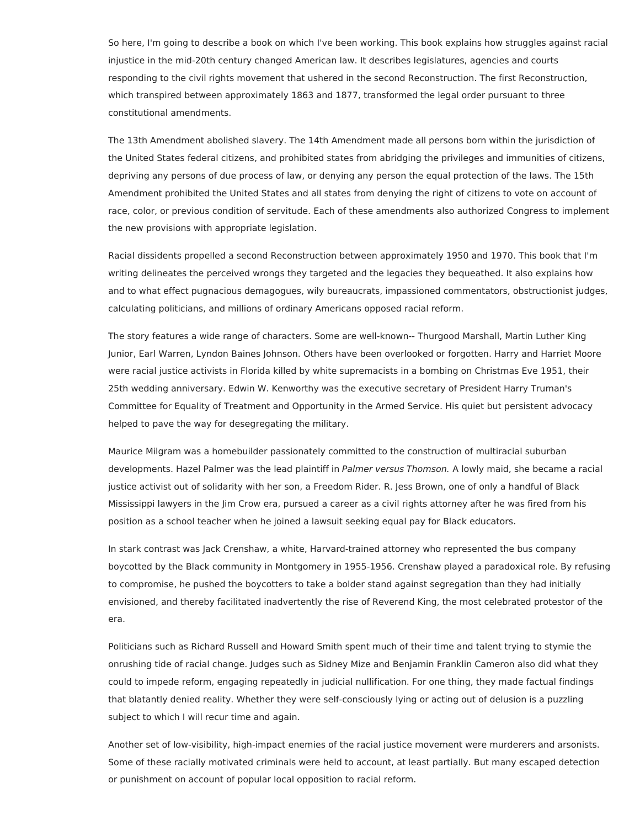So here, I'm going to describe a book on which I've been working. This book explains how struggles against racial injustice in the mid-20th century changed American law. It describes legislatures, agencies and courts responding to the civil rights movement that ushered in the second Reconstruction. The first Reconstruction, which transpired between approximately 1863 and 1877, transformed the legal order pursuant to three constitutional amendments.

The 13th Amendment abolished slavery. The 14th Amendment made all persons born within the jurisdiction of the United States federal citizens, and prohibited states from abridging the privileges and immunities of citizens, depriving any persons of due process of law, or denying any person the equal protection of the laws. The 15th Amendment prohibited the United States and all states from denying the right of citizens to vote on account of race, color, or previous condition of servitude. Each of these amendments also authorized Congress to implement the new provisions with appropriate legislation.

Racial dissidents propelled a second Reconstruction between approximately 1950 and 1970. This book that I'm writing delineates the perceived wrongs they targeted and the legacies they bequeathed. It also explains how and to what effect pugnacious demagogues, wily bureaucrats, impassioned commentators, obstructionist judges, calculating politicians, and millions of ordinary Americans opposed racial reform.

The story features a wide range of characters. Some are well-known-- Thurgood Marshall, Martin Luther King Junior, Earl Warren, Lyndon Baines Johnson. Others have been overlooked or forgotten. Harry and Harriet Moore were racial justice activists in Florida killed by white supremacists in a bombing on Christmas Eve 1951, their 25th wedding anniversary. Edwin W. Kenworthy was the executive secretary of President Harry Truman's Committee for Equality of Treatment and Opportunity in the Armed Service. His quiet but persistent advocacy helped to pave the way for desegregating the military.

Maurice Milgram was a homebuilder passionately committed to the construction of multiracial suburban developments. Hazel Palmer was the lead plaintiff in Palmer versus Thomson. A lowly maid, she became a racial justice activist out of solidarity with her son, a Freedom Rider. R. Jess Brown, one of only a handful of Black Mississippi lawyers in the Jim Crow era, pursued a career as a civil rights attorney after he was fired from his position as a school teacher when he joined a lawsuit seeking equal pay for Black educators.

In stark contrast was Jack Crenshaw, a white, Harvard-trained attorney who represented the bus company boycotted by the Black community in Montgomery in 1955-1956. Crenshaw played a paradoxical role. By refusing to compromise, he pushed the boycotters to take a bolder stand against segregation than they had initially envisioned, and thereby facilitated inadvertently the rise of Reverend King, the most celebrated protestor of the era.

Politicians such as Richard Russell and Howard Smith spent much of their time and talent trying to stymie the onrushing tide of racial change. Judges such as Sidney Mize and Benjamin Franklin Cameron also did what they could to impede reform, engaging repeatedly in judicial nullification. For one thing, they made factual findings that blatantly denied reality. Whether they were self-consciously lying or acting out of delusion is a puzzling subject to which I will recur time and again.

Another set of low-visibility, high-impact enemies of the racial justice movement were murderers and arsonists. Some of these racially motivated criminals were held to account, at least partially. But many escaped detection or punishment on account of popular local opposition to racial reform.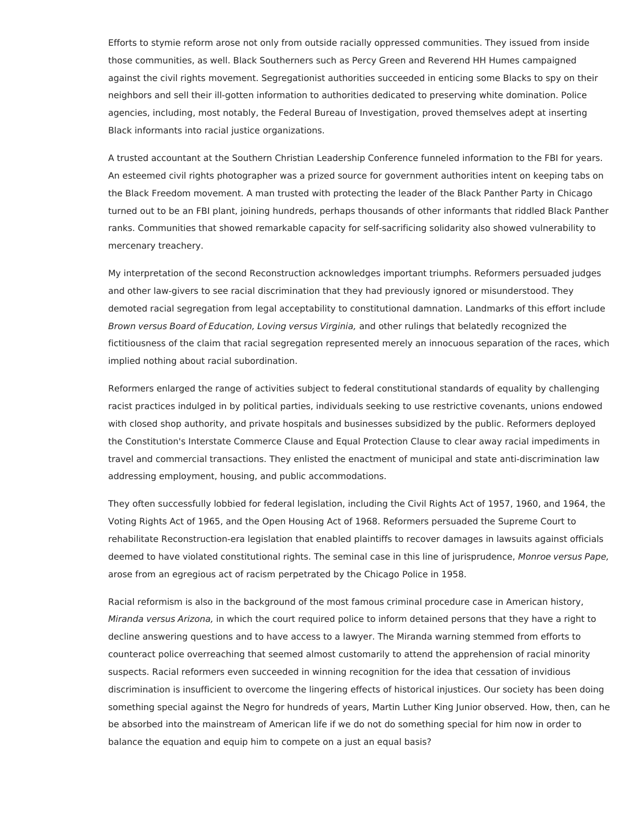Efforts to stymie reform arose not only from outside racially oppressed communities. They issued from inside those communities, as well. Black Southerners such as Percy Green and Reverend HH Humes campaigned against the civil rights movement. Segregationist authorities succeeded in enticing some Blacks to spy on their neighbors and sell their ill-gotten information to authorities dedicated to preserving white domination. Police agencies, including, most notably, the Federal Bureau of Investigation, proved themselves adept at inserting Black informants into racial justice organizations.

A trusted accountant at the Southern Christian Leadership Conference funneled information to the FBI for years. An esteemed civil rights photographer was a prized source for government authorities intent on keeping tabs on the Black Freedom movement. A man trusted with protecting the leader of the Black Panther Party in Chicago turned out to be an FBI plant, joining hundreds, perhaps thousands of other informants that riddled Black Panther ranks. Communities that showed remarkable capacity for self-sacrificing solidarity also showed vulnerability to mercenary treachery.

My interpretation of the second Reconstruction acknowledges important triumphs. Reformers persuaded judges and other law-givers to see racial discrimination that they had previously ignored or misunderstood. They demoted racial segregation from legal acceptability to constitutional damnation. Landmarks of this effort include Brown versus Board of Education, Loving versus Virginia, and other rulings that belatedly recognized the fictitiousness of the claim that racial segregation represented merely an innocuous separation of the races, which implied nothing about racial subordination.

Reformers enlarged the range of activities subject to federal constitutional standards of equality by challenging racist practices indulged in by political parties, individuals seeking to use restrictive covenants, unions endowed with closed shop authority, and private hospitals and businesses subsidized by the public. Reformers deployed the Constitution's Interstate Commerce Clause and Equal Protection Clause to clear away racial impediments in travel and commercial transactions. They enlisted the enactment of municipal and state anti-discrimination law addressing employment, housing, and public accommodations.

They often successfully lobbied for federal legislation, including the Civil Rights Act of 1957, 1960, and 1964, the Voting Rights Act of 1965, and the Open Housing Act of 1968. Reformers persuaded the Supreme Court to rehabilitate Reconstruction-era legislation that enabled plaintiffs to recover damages in lawsuits against officials deemed to have violated constitutional rights. The seminal case in this line of jurisprudence, Monroe versus Pape, arose from an egregious act of racism perpetrated by the Chicago Police in 1958.

Racial reformism is also in the background of the most famous criminal procedure case in American history, Miranda versus Arizona, in which the court required police to inform detained persons that they have a right to decline answering questions and to have access to a lawyer. The Miranda warning stemmed from efforts to counteract police overreaching that seemed almost customarily to attend the apprehension of racial minority suspects. Racial reformers even succeeded in winning recognition for the idea that cessation of invidious discrimination is insufficient to overcome the lingering effects of historical injustices. Our society has been doing something special against the Negro for hundreds of years, Martin Luther King Junior observed. How, then, can he be absorbed into the mainstream of American life if we do not do something special for him now in order to balance the equation and equip him to compete on a just an equal basis?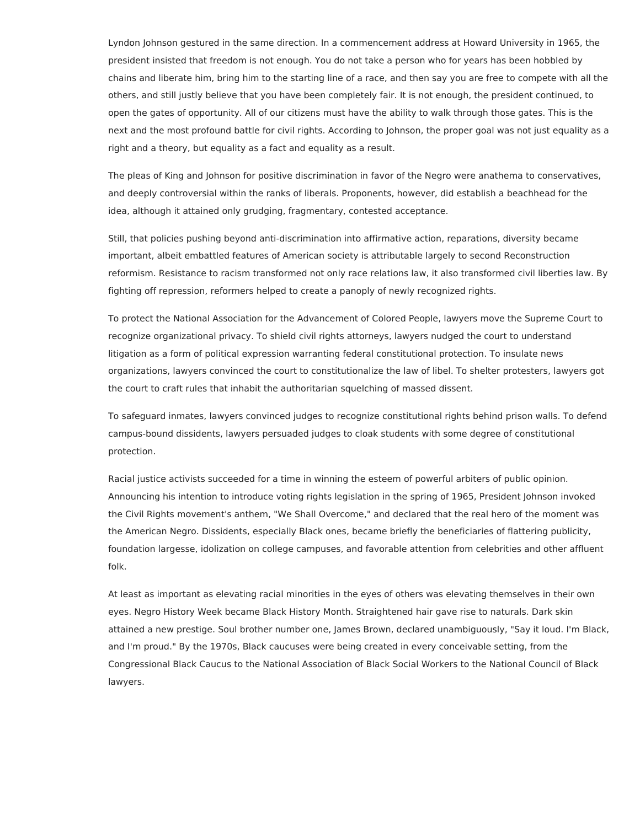Lyndon Johnson gestured in the same direction. In a commencement address at Howard University in 1965, the president insisted that freedom is not enough. You do not take a person who for years has been hobbled by chains and liberate him, bring him to the starting line of a race, and then say you are free to compete with all the others, and still justly believe that you have been completely fair. It is not enough, the president continued, to open the gates of opportunity. All of our citizens must have the ability to walk through those gates. This is the next and the most profound battle for civil rights. According to Johnson, the proper goal was not just equality as a right and a theory, but equality as a fact and equality as a result.

The pleas of King and Johnson for positive discrimination in favor of the Negro were anathema to conservatives, and deeply controversial within the ranks of liberals. Proponents, however, did establish a beachhead for the idea, although it attained only grudging, fragmentary, contested acceptance.

Still, that policies pushing beyond anti-discrimination into affirmative action, reparations, diversity became important, albeit embattled features of American society is attributable largely to second Reconstruction reformism. Resistance to racism transformed not only race relations law, it also transformed civil liberties law. By fighting off repression, reformers helped to create a panoply of newly recognized rights.

To protect the National Association for the Advancement of Colored People, lawyers move the Supreme Court to recognize organizational privacy. To shield civil rights attorneys, lawyers nudged the court to understand litigation as a form of political expression warranting federal constitutional protection. To insulate news organizations, lawyers convinced the court to constitutionalize the law of libel. To shelter protesters, lawyers got the court to craft rules that inhabit the authoritarian squelching of massed dissent.

To safeguard inmates, lawyers convinced judges to recognize constitutional rights behind prison walls. To defend campus-bound dissidents, lawyers persuaded judges to cloak students with some degree of constitutional protection.

Racial justice activists succeeded for a time in winning the esteem of powerful arbiters of public opinion. Announcing his intention to introduce voting rights legislation in the spring of 1965, President Johnson invoked the Civil Rights movement's anthem, "We Shall Overcome," and declared that the real hero of the moment was the American Negro. Dissidents, especially Black ones, became briefly the beneficiaries of flattering publicity, foundation largesse, idolization on college campuses, and favorable attention from celebrities and other affluent folk.

At least as important as elevating racial minorities in the eyes of others was elevating themselves in their own eyes. Negro History Week became Black History Month. Straightened hair gave rise to naturals. Dark skin attained a new prestige. Soul brother number one, James Brown, declared unambiguously, "Say it loud. I'm Black, and I'm proud." By the 1970s, Black caucuses were being created in every conceivable setting, from the Congressional Black Caucus to the National Association of Black Social Workers to the National Council of Black lawyers.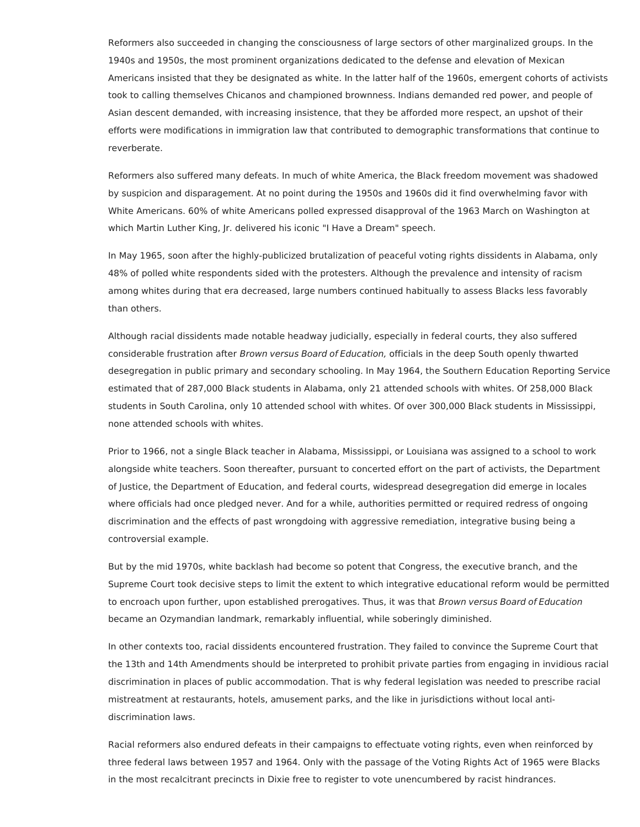Reformers also succeeded in changing the consciousness of large sectors of other marginalized groups. In the 1940s and 1950s, the most prominent organizations dedicated to the defense and elevation of Mexican Americans insisted that they be designated as white. In the latter half of the 1960s, emergent cohorts of activists took to calling themselves Chicanos and championed brownness. Indians demanded red power, and people of Asian descent demanded, with increasing insistence, that they be afforded more respect, an upshot of their efforts were modifications in immigration law that contributed to demographic transformations that continue to reverberate.

Reformers also suffered many defeats. In much of white America, the Black freedom movement was shadowed by suspicion and disparagement. At no point during the 1950s and 1960s did it find overwhelming favor with White Americans. 60% of white Americans polled expressed disapproval of the 1963 March on Washington at which Martin Luther King, Jr. delivered his iconic "I Have a Dream" speech.

In May 1965, soon after the highly-publicized brutalization of peaceful voting rights dissidents in Alabama, only 48% of polled white respondents sided with the protesters. Although the prevalence and intensity of racism among whites during that era decreased, large numbers continued habitually to assess Blacks less favorably than others.

Although racial dissidents made notable headway judicially, especially in federal courts, they also suffered considerable frustration after Brown versus Board of Education, officials in the deep South openly thwarted desegregation in public primary and secondary schooling. In May 1964, the Southern Education Reporting Service estimated that of 287,000 Black students in Alabama, only 21 attended schools with whites. Of 258,000 Black students in South Carolina, only 10 attended school with whites. Of over 300,000 Black students in Mississippi, none attended schools with whites.

Prior to 1966, not a single Black teacher in Alabama, Mississippi, or Louisiana was assigned to a school to work alongside white teachers. Soon thereafter, pursuant to concerted effort on the part of activists, the Department of Justice, the Department of Education, and federal courts, widespread desegregation did emerge in locales where officials had once pledged never. And for a while, authorities permitted or required redress of ongoing discrimination and the effects of past wrongdoing with aggressive remediation, integrative busing being a controversial example.

But by the mid 1970s, white backlash had become so potent that Congress, the executive branch, and the Supreme Court took decisive steps to limit the extent to which integrative educational reform would be permitted to encroach upon further, upon established prerogatives. Thus, it was that Brown versus Board of Education became an Ozymandian landmark, remarkably influential, while soberingly diminished.

In other contexts too, racial dissidents encountered frustration. They failed to convince the Supreme Court that the 13th and 14th Amendments should be interpreted to prohibit private parties from engaging in invidious racial discrimination in places of public accommodation. That is why federal legislation was needed to prescribe racial mistreatment at restaurants, hotels, amusement parks, and the like in jurisdictions without local antidiscrimination laws.

Racial reformers also endured defeats in their campaigns to effectuate voting rights, even when reinforced by three federal laws between 1957 and 1964. Only with the passage of the Voting Rights Act of 1965 were Blacks in the most recalcitrant precincts in Dixie free to register to vote unencumbered by racist hindrances.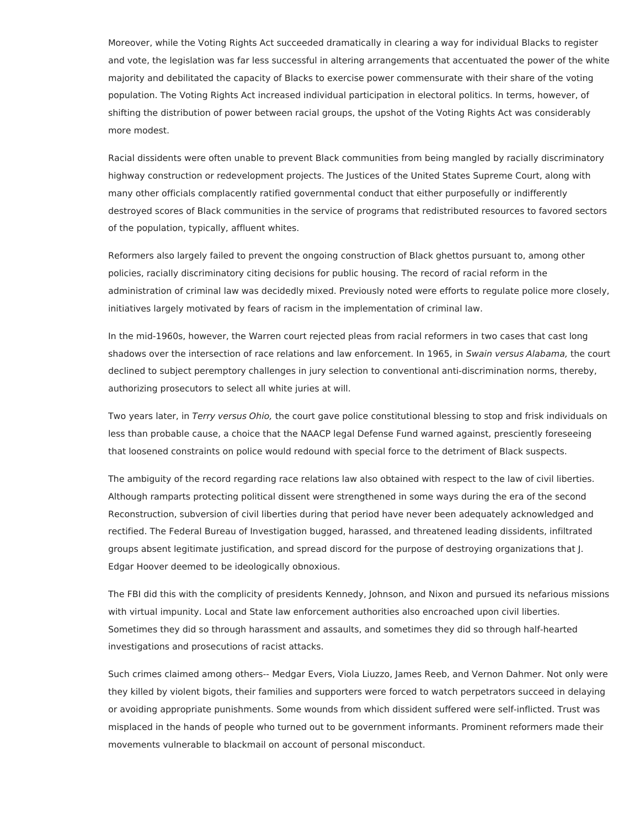Moreover, while the Voting Rights Act succeeded dramatically in clearing a way for individual Blacks to register and vote, the legislation was far less successful in altering arrangements that accentuated the power of the white majority and debilitated the capacity of Blacks to exercise power commensurate with their share of the voting population. The Voting Rights Act increased individual participation in electoral politics. In terms, however, of shifting the distribution of power between racial groups, the upshot of the Voting Rights Act was considerably more modest.

Racial dissidents were often unable to prevent Black communities from being mangled by racially discriminatory highway construction or redevelopment projects. The Justices of the United States Supreme Court, along with many other officials complacently ratified governmental conduct that either purposefully or indifferently destroyed scores of Black communities in the service of programs that redistributed resources to favored sectors of the population, typically, affluent whites.

Reformers also largely failed to prevent the ongoing construction of Black ghettos pursuant to, among other policies, racially discriminatory citing decisions for public housing. The record of racial reform in the administration of criminal law was decidedly mixed. Previously noted were efforts to regulate police more closely, initiatives largely motivated by fears of racism in the implementation of criminal law.

In the mid-1960s, however, the Warren court rejected pleas from racial reformers in two cases that cast long shadows over the intersection of race relations and law enforcement. In 1965, in Swain versus Alabama, the court declined to subject peremptory challenges in jury selection to conventional anti-discrimination norms, thereby, authorizing prosecutors to select all white juries at will.

Two years later, in Terry versus Ohio, the court gave police constitutional blessing to stop and frisk individuals on less than probable cause, a choice that the NAACP legal Defense Fund warned against, presciently foreseeing that loosened constraints on police would redound with special force to the detriment of Black suspects.

The ambiguity of the record regarding race relations law also obtained with respect to the law of civil liberties. Although ramparts protecting political dissent were strengthened in some ways during the era of the second Reconstruction, subversion of civil liberties during that period have never been adequately acknowledged and rectified. The Federal Bureau of Investigation bugged, harassed, and threatened leading dissidents, infiltrated groups absent legitimate justification, and spread discord for the purpose of destroying organizations that J. Edgar Hoover deemed to be ideologically obnoxious.

The FBI did this with the complicity of presidents Kennedy, Johnson, and Nixon and pursued its nefarious missions with virtual impunity. Local and State law enforcement authorities also encroached upon civil liberties. Sometimes they did so through harassment and assaults, and sometimes they did so through half-hearted investigations and prosecutions of racist attacks.

Such crimes claimed among others-- Medgar Evers, Viola Liuzzo, James Reeb, and Vernon Dahmer. Not only were they killed by violent bigots, their families and supporters were forced to watch perpetrators succeed in delaying or avoiding appropriate punishments. Some wounds from which dissident suffered were self-inflicted. Trust was misplaced in the hands of people who turned out to be government informants. Prominent reformers made their movements vulnerable to blackmail on account of personal misconduct.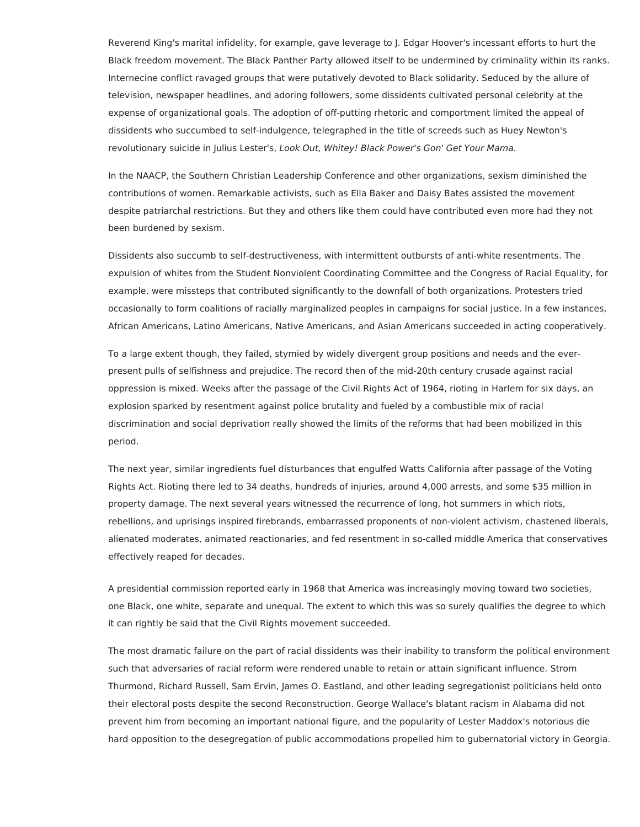Reverend King's marital infidelity, for example, gave leverage to J. Edgar Hoover's incessant efforts to hurt the Black freedom movement. The Black Panther Party allowed itself to be undermined by criminality within its ranks. Internecine conflict ravaged groups that were putatively devoted to Black solidarity. Seduced by the allure of television, newspaper headlines, and adoring followers, some dissidents cultivated personal celebrity at the expense of organizational goals. The adoption of off-putting rhetoric and comportment limited the appeal of dissidents who succumbed to self-indulgence, telegraphed in the title of screeds such as Huey Newton's revolutionary suicide in Julius Lester's, Look Out, Whitey! Black Power's Gon' Get Your Mama.

In the NAACP, the Southern Christian Leadership Conference and other organizations, sexism diminished the contributions of women. Remarkable activists, such as Ella Baker and Daisy Bates assisted the movement despite patriarchal restrictions. But they and others like them could have contributed even more had they not been burdened by sexism.

Dissidents also succumb to self-destructiveness, with intermittent outbursts of anti-white resentments. The expulsion of whites from the Student Nonviolent Coordinating Committee and the Congress of Racial Equality, for example, were missteps that contributed significantly to the downfall of both organizations. Protesters tried occasionally to form coalitions of racially marginalized peoples in campaigns for social justice. In a few instances, African Americans, Latino Americans, Native Americans, and Asian Americans succeeded in acting cooperatively.

To a large extent though, they failed, stymied by widely divergent group positions and needs and the everpresent pulls of selfishness and prejudice. The record then of the mid-20th century crusade against racial oppression is mixed. Weeks after the passage of the Civil Rights Act of 1964, rioting in Harlem for six days, an explosion sparked by resentment against police brutality and fueled by a combustible mix of racial discrimination and social deprivation really showed the limits of the reforms that had been mobilized in this period.

The next year, similar ingredients fuel disturbances that engulfed Watts California after passage of the Voting Rights Act. Rioting there led to 34 deaths, hundreds of injuries, around 4,000 arrests, and some \$35 million in property damage. The next several years witnessed the recurrence of long, hot summers in which riots, rebellions, and uprisings inspired firebrands, embarrassed proponents of non-violent activism, chastened liberals, alienated moderates, animated reactionaries, and fed resentment in so-called middle America that conservatives effectively reaped for decades.

A presidential commission reported early in 1968 that America was increasingly moving toward two societies, one Black, one white, separate and unequal. The extent to which this was so surely qualifies the degree to which it can rightly be said that the Civil Rights movement succeeded.

The most dramatic failure on the part of racial dissidents was their inability to transform the political environment such that adversaries of racial reform were rendered unable to retain or attain significant influence. Strom Thurmond, Richard Russell, Sam Ervin, James O. Eastland, and other leading segregationist politicians held onto their electoral posts despite the second Reconstruction. George Wallace's blatant racism in Alabama did not prevent him from becoming an important national figure, and the popularity of Lester Maddox's notorious die hard opposition to the desegregation of public accommodations propelled him to gubernatorial victory in Georgia.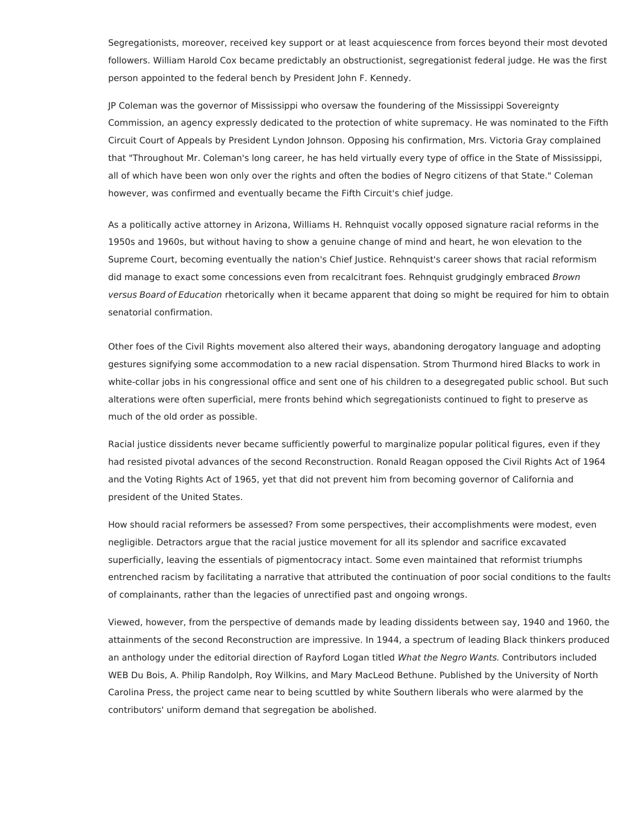Segregationists, moreover, received key support or at least acquiescence from forces beyond their most devoted followers. William Harold Cox became predictably an obstructionist, segregationist federal judge. He was the first person appointed to the federal bench by President John F. Kennedy.

JP Coleman was the governor of Mississippi who oversaw the foundering of the Mississippi Sovereignty Commission, an agency expressly dedicated to the protection of white supremacy. He was nominated to the Fifth Circuit Court of Appeals by President Lyndon Johnson. Opposing his confirmation, Mrs. Victoria Gray complained that "Throughout Mr. Coleman's long career, he has held virtually every type of office in the State of Mississippi, all of which have been won only over the rights and often the bodies of Negro citizens of that State." Coleman however, was confirmed and eventually became the Fifth Circuit's chief judge.

As a politically active attorney in Arizona, Williams H. Rehnquist vocally opposed signature racial reforms in the 1950s and 1960s, but without having to show a genuine change of mind and heart, he won elevation to the Supreme Court, becoming eventually the nation's Chief Justice. Rehnquist's career shows that racial reformism did manage to exact some concessions even from recalcitrant foes. Rehnquist grudgingly embraced Brown versus Board of Education rhetorically when it became apparent that doing so might be required for him to obtain senatorial confirmation.

Other foes of the Civil Rights movement also altered their ways, abandoning derogatory language and adopting gestures signifying some accommodation to a new racial dispensation. Strom Thurmond hired Blacks to work in white-collar jobs in his congressional office and sent one of his children to a desegregated public school. But such alterations were often superficial, mere fronts behind which segregationists continued to fight to preserve as much of the old order as possible.

Racial justice dissidents never became sufficiently powerful to marginalize popular political figures, even if they had resisted pivotal advances of the second Reconstruction. Ronald Reagan opposed the Civil Rights Act of 1964 and the Voting Rights Act of 1965, yet that did not prevent him from becoming governor of California and president of the United States.

How should racial reformers be assessed? From some perspectives, their accomplishments were modest, even negligible. Detractors argue that the racial justice movement for all its splendor and sacrifice excavated superficially, leaving the essentials of pigmentocracy intact. Some even maintained that reformist triumphs entrenched racism by facilitating a narrative that attributed the continuation of poor social conditions to the faults of complainants, rather than the legacies of unrectified past and ongoing wrongs.

Viewed, however, from the perspective of demands made by leading dissidents between say, 1940 and 1960, the attainments of the second Reconstruction are impressive. In 1944, a spectrum of leading Black thinkers produced an anthology under the editorial direction of Rayford Logan titled What the Negro Wants. Contributors included WEB Du Bois, A. Philip Randolph, Roy Wilkins, and Mary MacLeod Bethune. Published by the University of North Carolina Press, the project came near to being scuttled by white Southern liberals who were alarmed by the contributors' uniform demand that segregation be abolished.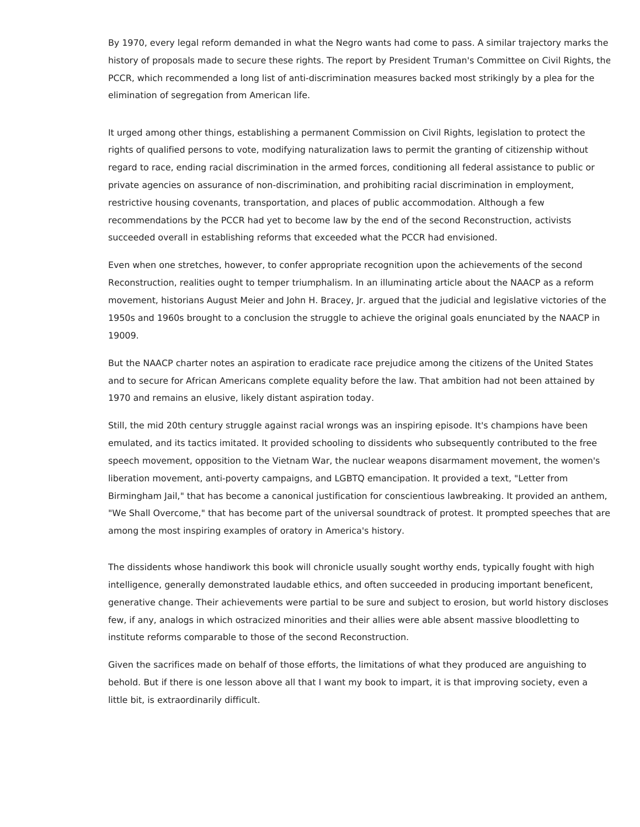By 1970, every legal reform demanded in what the Negro wants had come to pass. A similar trajectory marks the history of proposals made to secure these rights. The report by President Truman's Committee on Civil Rights, the PCCR, which recommended a long list of anti-discrimination measures backed most strikingly by a plea for the elimination of segregation from American life.

It urged among other things, establishing a permanent Commission on Civil Rights, legislation to protect the rights of qualified persons to vote, modifying naturalization laws to permit the granting of citizenship without regard to race, ending racial discrimination in the armed forces, conditioning all federal assistance to public or private agencies on assurance of non-discrimination, and prohibiting racial discrimination in employment, restrictive housing covenants, transportation, and places of public accommodation. Although a few recommendations by the PCCR had yet to become law by the end of the second Reconstruction, activists succeeded overall in establishing reforms that exceeded what the PCCR had envisioned.

Even when one stretches, however, to confer appropriate recognition upon the achievements of the second Reconstruction, realities ought to temper triumphalism. In an illuminating article about the NAACP as a reform movement, historians August Meier and John H. Bracey, Jr. argued that the judicial and legislative victories of the 1950s and 1960s brought to a conclusion the struggle to achieve the original goals enunciated by the NAACP in 19009.

But the NAACP charter notes an aspiration to eradicate race prejudice among the citizens of the United States and to secure for African Americans complete equality before the law. That ambition had not been attained by 1970 and remains an elusive, likely distant aspiration today.

Still, the mid 20th century struggle against racial wrongs was an inspiring episode. It's champions have been emulated, and its tactics imitated. It provided schooling to dissidents who subsequently contributed to the free speech movement, opposition to the Vietnam War, the nuclear weapons disarmament movement, the women's liberation movement, anti-poverty campaigns, and LGBTQ emancipation. It provided a text, "Letter from Birmingham Jail," that has become a canonical justification for conscientious lawbreaking. It provided an anthem, "We Shall Overcome," that has become part of the universal soundtrack of protest. It prompted speeches that are among the most inspiring examples of oratory in America's history.

The dissidents whose handiwork this book will chronicle usually sought worthy ends, typically fought with high intelligence, generally demonstrated laudable ethics, and often succeeded in producing important beneficent, generative change. Their achievements were partial to be sure and subject to erosion, but world history discloses few, if any, analogs in which ostracized minorities and their allies were able absent massive bloodletting to institute reforms comparable to those of the second Reconstruction.

Given the sacrifices made on behalf of those efforts, the limitations of what they produced are anguishing to behold. But if there is one lesson above all that I want my book to impart, it is that improving society, even a little bit, is extraordinarily difficult.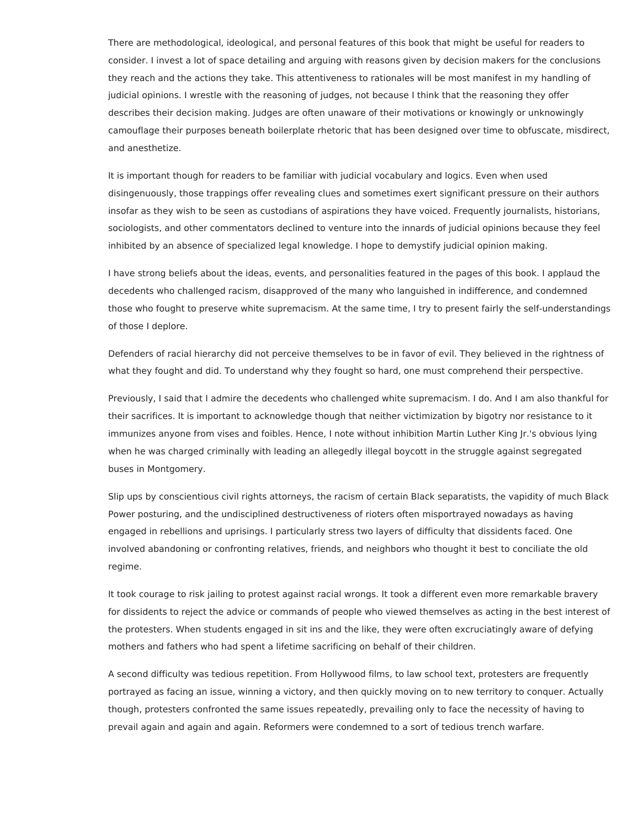There are methodological, ideological, and personal features of this book that might be useful for readers to consider. I invest a lot of space detailing and arguing with reasons given by decision makers for the conclusions they reach and the actions they take. This attentiveness to rationales will be most manifest in my handling of judicial opinions. I wrestle with the reasoning of judges, not because I think that the reasoning they offer describes their decision making. Judges are often unaware of their motivations or knowingly or unknowingly camouflage their purposes beneath boilerplate rhetoric that has been designed over time to obfuscate, misdirect, and anesthetize.

It is important though for readers to be familiar with judicial vocabulary and logics. Even when used disingenuously, those trappings offer revealing clues and sometimes exert significant pressure on their authors insofar as they wish to be seen as custodians of aspirations they have voiced. Frequently journalists, historians, sociologists, and other commentators declined to venture into the innards of judicial opinions because they feel inhibited by an absence of specialized legal knowledge. I hope to demystify judicial opinion making.

I have strong beliefs about the ideas, events, and personalities featured in the pages of this book. I applaud the decedents who challenged racism, disapproved of the many who languished in indifference, and condemned those who fought to preserve white supremacism. At the same time, I try to present fairly the self-understandings of those I deplore.

Defenders of racial hierarchy did not perceive themselves to be in favor of evil. They believed in the rightness of what they fought and did. To understand why they fought so hard, one must comprehend their perspective.

Previously, I said that I admire the decedents who challenged white supremacism. I do. And I am also thankful for their sacrifices. It is important to acknowledge though that neither victimization by bigotry nor resistance to it immunizes anyone from vises and foibles. Hence, I note without inhibition Martin Luther King Jr.'s obvious lying when he was charged criminally with leading an allegedly illegal boycott in the struggle against segregated buses in Montgomery.

Slip ups by conscientious civil rights attorneys, the racism of certain Black separatists, the vapidity of much Black Power posturing, and the undisciplined destructiveness of rioters often misportrayed nowadays as having engaged in rebellions and uprisings. I particularly stress two layers of difficulty that dissidents faced. One involved abandoning or confronting relatives, friends, and neighbors who thought it best to conciliate the old regime.

It took courage to risk jailing to protest against racial wrongs. It took a different even more remarkable bravery for dissidents to reject the advice or commands of people who viewed themselves as acting in the best interest of the protesters. When students engaged in sit ins and the like, they were often excruciatingly aware of defying mothers and fathers who had spent a lifetime sacrificing on behalf of their children.

A second difficulty was tedious repetition. From Hollywood films, to law school text, protesters are frequently portrayed as facing an issue, winning a victory, and then quickly moving on to new territory to conquer. Actually though, protesters confronted the same issues repeatedly, prevailing only to face the necessity of having to prevail again and again and again. Reformers were condemned to a sort of tedious trench warfare.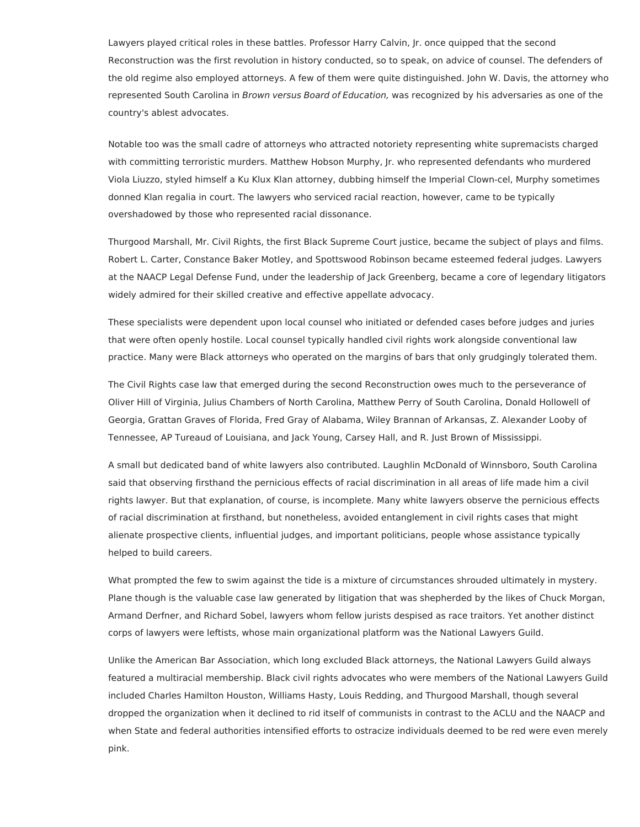Lawyers played critical roles in these battles. Professor Harry Calvin, Jr. once quipped that the second Reconstruction was the first revolution in history conducted, so to speak, on advice of counsel. The defenders of the old regime also employed attorneys. A few of them were quite distinguished. John W. Davis, the attorney who represented South Carolina in Brown versus Board of Education, was recognized by his adversaries as one of the country's ablest advocates.

Notable too was the small cadre of attorneys who attracted notoriety representing white supremacists charged with committing terroristic murders. Matthew Hobson Murphy, Jr. who represented defendants who murdered Viola Liuzzo, styled himself a Ku Klux Klan attorney, dubbing himself the Imperial Clown-cel, Murphy sometimes donned Klan regalia in court. The lawyers who serviced racial reaction, however, came to be typically overshadowed by those who represented racial dissonance.

Thurgood Marshall, Mr. Civil Rights, the first Black Supreme Court justice, became the subject of plays and films. Robert L. Carter, Constance Baker Motley, and Spottswood Robinson became esteemed federal judges. Lawyers at the NAACP Legal Defense Fund, under the leadership of Jack Greenberg, became a core of legendary litigators widely admired for their skilled creative and effective appellate advocacy.

These specialists were dependent upon local counsel who initiated or defended cases before judges and juries that were often openly hostile. Local counsel typically handled civil rights work alongside conventional law practice. Many were Black attorneys who operated on the margins of bars that only grudgingly tolerated them.

The Civil Rights case law that emerged during the second Reconstruction owes much to the perseverance of Oliver Hill of Virginia, Julius Chambers of North Carolina, Matthew Perry of South Carolina, Donald Hollowell of Georgia, Grattan Graves of Florida, Fred Gray of Alabama, Wiley Brannan of Arkansas, Z. Alexander Looby of Tennessee, AP Tureaud of Louisiana, and Jack Young, Carsey Hall, and R. Just Brown of Mississippi.

A small but dedicated band of white lawyers also contributed. Laughlin McDonald of Winnsboro, South Carolina said that observing firsthand the pernicious effects of racial discrimination in all areas of life made him a civil rights lawyer. But that explanation, of course, is incomplete. Many white lawyers observe the pernicious effects of racial discrimination at firsthand, but nonetheless, avoided entanglement in civil rights cases that might alienate prospective clients, influential judges, and important politicians, people whose assistance typically helped to build careers.

What prompted the few to swim against the tide is a mixture of circumstances shrouded ultimately in mystery. Plane though is the valuable case law generated by litigation that was shepherded by the likes of Chuck Morgan, Armand Derfner, and Richard Sobel, lawyers whom fellow jurists despised as race traitors. Yet another distinct corps of lawyers were leftists, whose main organizational platform was the National Lawyers Guild.

Unlike the American Bar Association, which long excluded Black attorneys, the National Lawyers Guild always featured a multiracial membership. Black civil rights advocates who were members of the National Lawyers Guild included Charles Hamilton Houston, Williams Hasty, Louis Redding, and Thurgood Marshall, though several dropped the organization when it declined to rid itself of communists in contrast to the ACLU and the NAACP and when State and federal authorities intensified efforts to ostracize individuals deemed to be red were even merely pink.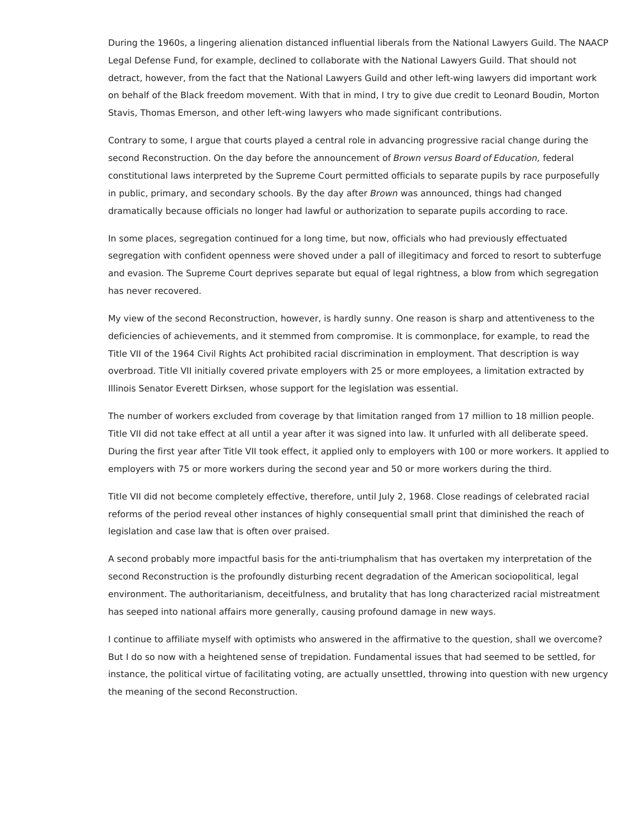During the 1960s, a lingering alienation distanced influential liberals from the National Lawyers Guild. The NAACP Legal Defense Fund, for example, declined to collaborate with the National Lawyers Guild. That should not detract, however, from the fact that the National Lawyers Guild and other left-wing lawyers did important work on behalf of the Black freedom movement. With that in mind, I try to give due credit to Leonard Boudin, Morton Stavis, Thomas Emerson, and other left-wing lawyers who made significant contributions.

Contrary to some, I argue that courts played a central role in advancing progressive racial change during the second Reconstruction. On the day before the announcement of Brown versus Board of Education, federal constitutional laws interpreted by the Supreme Court permitted officials to separate pupils by race purposefully in public, primary, and secondary schools. By the day after Brown was announced, things had changed dramatically because officials no longer had lawful or authorization to separate pupils according to race.

In some places, segregation continued for a long time, but now, officials who had previously effectuated segregation with confident openness were shoved under a pall of illegitimacy and forced to resort to subterfuge and evasion. The Supreme Court deprives separate but equal of legal rightness, a blow from which segregation has never recovered.

My view of the second Reconstruction, however, is hardly sunny. One reason is sharp and attentiveness to the deficiencies of achievements, and it stemmed from compromise. It is commonplace, for example, to read the Title VII of the 1964 Civil Rights Act prohibited racial discrimination in employment. That description is way overbroad. Title VII initially covered private employers with 25 or more employees, a limitation extracted by Illinois Senator Everett Dirksen, whose support for the legislation was essential.

The number of workers excluded from coverage by that limitation ranged from 17 million to 18 million people. Title VII did not take effect at all until a year after it was signed into law. It unfurled with all deliberate speed. During the first year after Title VII took effect, it applied only to employers with 100 or more workers. It applied to employers with 75 or more workers during the second year and 50 or more workers during the third.

Title VII did not become completely effective, therefore, until July 2, 1968. Close readings of celebrated racial reforms of the period reveal other instances of highly consequential small print that diminished the reach of legislation and case law that is often over praised.

A second probably more impactful basis for the anti-triumphalism that has overtaken my interpretation of the second Reconstruction is the profoundly disturbing recent degradation of the American sociopolitical, legal environment. The authoritarianism, deceitfulness, and brutality that has long characterized racial mistreatment has seeped into national affairs more generally, causing profound damage in new ways.

I continue to affiliate myself with optimists who answered in the affirmative to the question, shall we overcome? But I do so now with a heightened sense of trepidation. Fundamental issues that had seemed to be settled, for instance, the political virtue of facilitating voting, are actually unsettled, throwing into question with new urgency the meaning of the second Reconstruction.